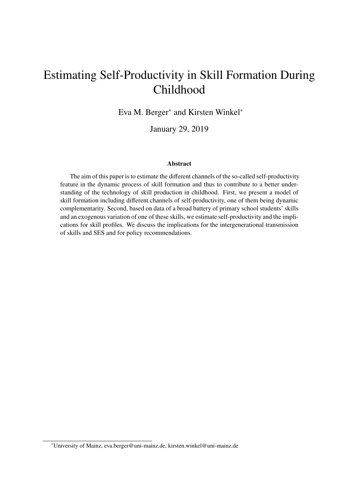## Estimating Self-Productivity in Skill Formation During Childhood

Eva M. Berger<sup>∗</sup> and Kirsten Winkel<sup>∗</sup>

January 29, 2019

## Abstract

The aim of this paper is to estimate the different channels of the so-called self-productivity feature in the dynamic process of skill formation and thus to contribute to a better understanding of the technology of skill production in childhood. First, we present a model of skill formation including different channels of self-productivity, one of them being dynamic complementarity. Second, based on data of a broad battery of primary school students' skills and an exogenous variation of one of these skills, we estimate self-productivity and the implications for skill profiles. We discuss the implications for the intergenerational transmission of skills and SES and for policy recommendations.

<sup>∗</sup>University of Mainz, eva.berger@uni-mainz.de, kirsten.winkel@uni-mainz.de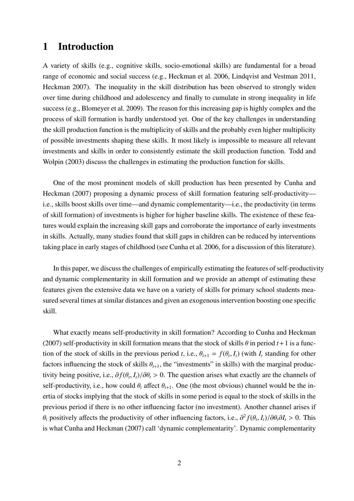## 1 Introduction

A variety of skills (e.g., cognitive skills, socio-emotional skills) are fundamental for a broad range of economic and social success (e.g., Heckman et al. 2006, Lindqvist and Vestman 2011, Heckman 2007). The inequality in the skill distribution has been observed to strongly widen over time during childhood and adolescency and finally to cumulate in strong inequality in life success (e.g., Blomeyer et al. 2009). The reason for this increasing gap is highly complex and the process of skill formation is hardly understood yet. One of the key challenges in understanding the skill production function is the multiplicity of skills and the probably even higher multiplicity of possible investments shaping these skills. It most likely is impossible to measure all relevant investments and skills in order to consistently estimate the skill production function. Todd and Wolpin (2003) discuss the challenges in estimating the production function for skills.

One of the most prominent models of skill production has been presented by Cunha and Heckman (2007) proposing a dynamic process of skill formation featuring self-productivity i.e., skills boost skills over time—and dynamic complementarity—i.e., the productivity (in terms of skill formation) of investments is higher for higher baseline skills. The existence of these features would explain the increasing skill gaps and corroborate the importance of early investments in skills. Actually, many studies found that skill gaps in children can be reduced by interventions taking place in early stages of childhood (see Cunha et al. 2006, for a discussion of this literature).

In this paper, we discuss the challenges of empirically estimating the features of self-productivity and dynamic complementarity in skill formation and we provide an attempt of estimating these features given the extensive data we have on a variety of skills for primary school students measured several times at similar distances and given an exogenous intervention boosting one specific skill.

What exactly means self-productivity in skill formation? According to Cunha and Heckman (2007) self-productivity in skill formation means that the stock of skills  $\theta$  in period  $t+1$  is a function of the stock of skills in the previous period *t*, i.e.,  $\theta_{t+1} = f(\theta_t, I_t)$  (with  $I_t$  standing for other factors influencing the stock of skills  $\theta_{t+1}$ , the "investments" in skills) with the marginal productivity being positive, i.e.,  $\partial f(\theta_t, I_t)/\partial \theta_t > 0$ . The question arises what exactly are the channels of self-productivity, i.e., how could  $\theta_t$  affect  $\theta_{t+1}$ . One (the most obvious) channel would be the inertia of stocks implying that the stock of skills in some period is equal to the stock of skills in the previous period if there is no other influencing factor (no investment). Another channel arises if θ<sub>t</sub> positively affects the productivity of other influencing factors, i.e.,  $\frac{\partial^2 f(\theta_t, I_t)}{\partial \theta_t \partial I_t} > 0$ . This is what Cunha and Heckman (2007) call 'dynamic complementarity'. Dynamic complementarity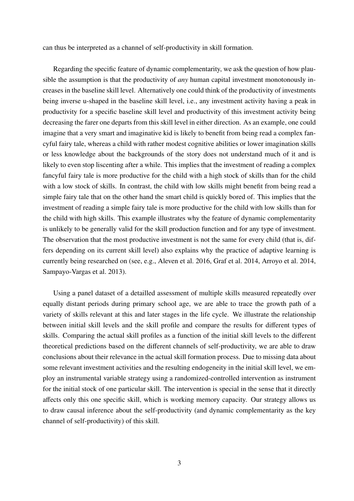can thus be interpreted as a channel of self-productivity in skill formation.

Regarding the specific feature of dynamic complementarity, we ask the question of how plausible the assumption is that the productivity of *any* human capital investment monotonously increases in the baseline skill level. Alternatively one could think of the productivity of investments being inverse u-shaped in the baseline skill level, i.e., any investment activity having a peak in productivity for a specific baseline skill level and productivity of this investment activity being decreasing the farer one departs from this skill level in either direction. As an example, one could imagine that a very smart and imaginative kid is likely to benefit from being read a complex fancyful fairy tale, whereas a child with rather modest cognitive abilities or lower imagination skills or less knowledge about the backgrounds of the story does not understand much of it and is likely to even stop liscenting after a while. This implies that the investment of reading a complex fancyful fairy tale is more productive for the child with a high stock of skills than for the child with a low stock of skills. In contrast, the child with low skills might benefit from being read a simple fairy tale that on the other hand the smart child is quickly bored of. This implies that the investment of reading a simple fairy tale is more productive for the child with low skills than for the child with high skills. This example illustrates why the feature of dynamic complementarity is unlikely to be generally valid for the skill production function and for any type of investment. The observation that the most productive investment is not the same for every child (that is, differs depending on its current skill level) also explains why the practice of adaptive learning is currently being researched on (see, e.g., Aleven et al. 2016, Graf et al. 2014, Arroyo et al. 2014, Sampayo-Vargas et al. 2013).

Using a panel dataset of a detailled assessment of multiple skills measured repeatedly over equally distant periods during primary school age, we are able to trace the growth path of a variety of skills relevant at this and later stages in the life cycle. We illustrate the relationship between initial skill levels and the skill profile and compare the results for different types of skills. Comparing the actual skill profiles as a function of the initial skill levels to the different theoretical predictions based on the different channels of self-productivity, we are able to draw conclusions about their relevance in the actual skill formation process. Due to missing data about some relevant investment activities and the resulting endogeneity in the initial skill level, we employ an instrumental variable strategy using a randomized-controlled intervention as instrument for the initial stock of one particular skill. The intervention is special in the sense that it directly affects only this one specific skill, which is working memory capacity. Our strategy allows us to draw causal inference about the self-productivity (and dynamic complementarity as the key channel of self-productivity) of this skill.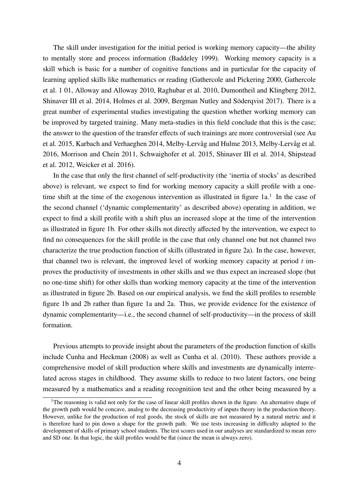The skill under investigation for the initial period is working memory capacity—the ability to mentally store and process information (Baddeley 1999). Working memory capacity is a skill which is basic for a number of cognitive functions and in particular for the capacity of learning applied skills like mathematics or reading (Gathercole and Pickering 2000, Gathercole et al. 1 01, Alloway and Alloway 2010, Raghubar et al. 2010, Dumontheil and Klingberg 2012, Shinaver III et al. 2014, Holmes et al. 2009, Bergman Nutley and Söderqvist 2017). There is a great number of experimental studies investigating the question whether working memory can be improved by targeted training. Many meta-studies in this field conclude that this is the case; the answer to the question of the transfer effects of such trainings are more controversial (see Au et al. 2015, Karbach and Verhaeghen 2014, Melby-Lervåg and Hulme 2013, Melby-Lervåg et al. 2016, Morrison and Chein 2011, Schwaighofer et al. 2015, Shinaver III et al. 2014, Shipstead et al. 2012, Weicker et al. 2016).

In the case that only the first channel of self-productivity (the 'inertia of stocks' as described above) is relevant, we expect to find for working memory capacity a skill profile with a onetime shift at the time of the exogenous intervention as illustrated in figure  $1a<sup>1</sup>$ . In the case of the second channel ('dynamic complementarity' as described above) operating in addition, we expect to find a skill profile with a shift plus an increased slope at the time of the intervention as illustrated in figure 1b. For other skills not directly affected by the intervention, we expect to find no consequences for the skill profile in the case that only channel one but not channel two characterize the true production function of skills (illustrated in figure 2a). In the case, however, that channel two is relevant, the improved level of working memory capacity at period *t* improves the productivity of investments in other skills and we thus expect an increased slope (but no one-time shift) for other skills than working memory capacity at the time of the intervention as illustrated in figure 2b. Based on our empirical analysis, we find the skill profiles to resemble figure 1b and 2b rather than figure 1a and 2a. Thus, we provide evidence for the existence of dynamic complementarity—i.e., the second channel of self-productivity—in the process of skill formation.

Previous attempts to provide insight about the parameters of the production function of skills include Cunha and Heckman (2008) as well as Cunha et al. (2010). These authors provide a comprehensive model of skill production where skills and investments are dynamically interrelated across stages in childhood. They assume skills to reduce to two latent factors, one being measured by a mathematics and a reading recognitiion test and the other being measured by a

<sup>&</sup>lt;sup>1</sup>The reasoning is valid not only for the case of linear skill profiles shown in the figure. An alternative shape of the growth path would be concave, analog to the decreasing productivity of inputs theory in the production theory. However, unlike for the production of real goods, the stock of skills are not measured by a natural metric and it is therefore hard to pin down a shape for the growth path. We use tests increasing in difficulty adapted to the development of skills of primary school students. The test scores used in our analyses are standardized to mean zero and SD one. In that logic, the skill profiles would be flat (since the mean is always zero).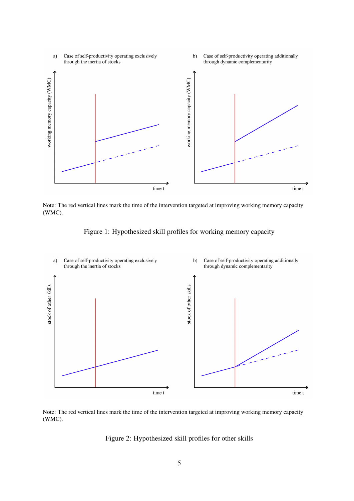

Note: The red vertical lines mark the time of the intervention targeted at improving working memory capacity (WMC).



Figure 1: Hypothesized skill profiles for working memory capacity



time t

Figure 2: Hypothesized skill profiles for other skills

time t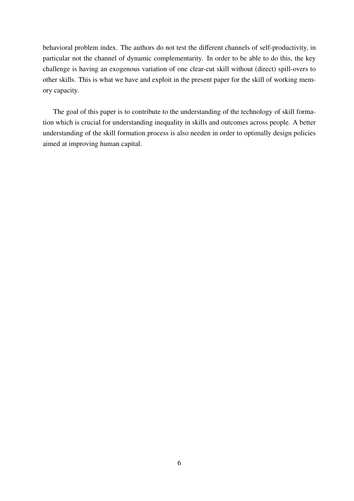behavioral problem index. The authors do not test the different channels of self-productivity, in particular not the channel of dynamic complementarity. In order to be able to do this, the key challenge is having an exogenous variation of one clear-cut skill without (direct) spill-overs to other skills. This is what we have and exploit in the present paper for the skill of working memory capacity.

The goal of this paper is to contribute to the understanding of the technology of skill formation which is crucial for understanding inequality in skills and outcomes across people. A better understanding of the skill formation process is also needen in order to optimally design policies aimed at improving human capital.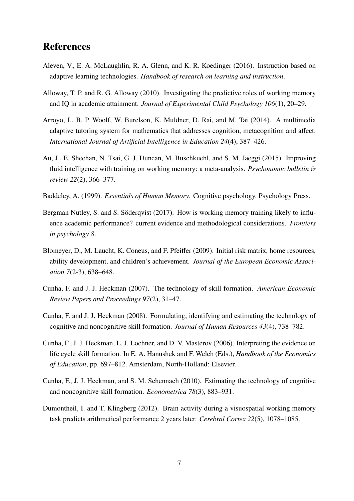## References

- Aleven, V., E. A. McLaughlin, R. A. Glenn, and K. R. Koedinger (2016). Instruction based on adaptive learning technologies. *Handbook of research on learning and instruction*.
- Alloway, T. P. and R. G. Alloway (2010). Investigating the predictive roles of working memory and IQ in academic attainment. *Journal of Experimental Child Psychology 106*(1), 20–29.
- Arroyo, I., B. P. Woolf, W. Burelson, K. Muldner, D. Rai, and M. Tai (2014). A multimedia adaptive tutoring system for mathematics that addresses cognition, metacognition and affect. *International Journal of Artificial Intelligence in Education 24*(4), 387–426.
- Au, J., E. Sheehan, N. Tsai, G. J. Duncan, M. Buschkuehl, and S. M. Jaeggi (2015). Improving fluid intelligence with training on working memory: a meta-analysis. *Psychonomic bulletin* & *review 22*(2), 366–377.
- Baddeley, A. (1999). *Essentials of Human Memory*. Cognitive psychology. Psychology Press.
- Bergman Nutley, S. and S. Söderqvist (2017). How is working memory training likely to influence academic performance? current evidence and methodological considerations. *Frontiers in psychology 8*.
- Blomeyer, D., M. Laucht, K. Coneus, and F. Pfeiffer (2009). Initial risk matrix, home resources, ability development, and children's achievement. *Journal of the European Economic Association 7*(2-3), 638–648.
- Cunha, F. and J. J. Heckman (2007). The technology of skill formation. *American Economic Review Papers and Proceedings 97*(2), 31–47.
- Cunha, F. and J. J. Heckman (2008). Formulating, identifying and estimating the technology of cognitive and noncognitive skill formation. *Journal of Human Resources 43*(4), 738–782.
- Cunha, F., J. J. Heckman, L. J. Lochner, and D. V. Masterov (2006). Interpreting the evidence on life cycle skill formation. In E. A. Hanushek and F. Welch (Eds.), *Handbook of the Economics of Education*, pp. 697–812. Amsterdam, North-Holland: Elsevier.
- Cunha, F., J. J. Heckman, and S. M. Schennach (2010). Estimating the technology of cognitive and noncognitive skill formation. *Econometrica 78*(3), 883–931.
- Dumontheil, I. and T. Klingberg (2012). Brain activity during a visuospatial working memory task predicts arithmetical performance 2 years later. *Cerebral Cortex 22*(5), 1078–1085.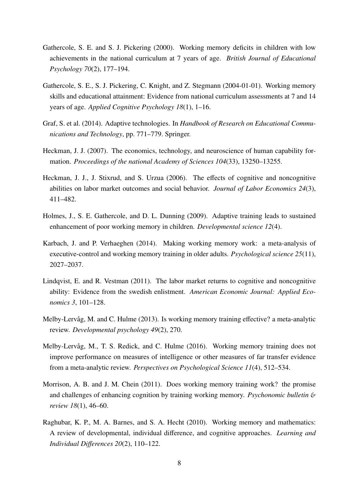- Gathercole, S. E. and S. J. Pickering (2000). Working memory deficits in children with low achievements in the national curriculum at 7 years of age. *British Journal of Educational Psychology 70*(2), 177–194.
- Gathercole, S. E., S. J. Pickering, C. Knight, and Z. Stegmann (2004-01-01). Working memory skills and educational attainment: Evidence from national curriculum assessments at 7 and 14 years of age. *Applied Cognitive Psychology 18*(1), 1–16.
- Graf, S. et al. (2014). Adaptive technologies. In *Handbook of Research on Educational Communications and Technology*, pp. 771–779. Springer.
- Heckman, J. J. (2007). The economics, technology, and neuroscience of human capability formation. *Proceedings of the national Academy of Sciences 104*(33), 13250–13255.
- Heckman, J. J., J. Stixrud, and S. Urzua (2006). The effects of cognitive and noncognitive abilities on labor market outcomes and social behavior. *Journal of Labor Economics 24*(3), 411–482.
- Holmes, J., S. E. Gathercole, and D. L. Dunning (2009). Adaptive training leads to sustained enhancement of poor working memory in children. *Developmental science 12*(4).
- Karbach, J. and P. Verhaeghen (2014). Making working memory work: a meta-analysis of executive-control and working memory training in older adults. *Psychological science 25*(11), 2027–2037.
- Lindqvist, E. and R. Vestman (2011). The labor market returns to cognitive and noncognitive ability: Evidence from the swedish enlistment. *American Economic Journal: Applied Economics 3*, 101–128.
- Melby-Lervåg, M. and C. Hulme (2013). Is working memory training effective? a meta-analytic review. *Developmental psychology 49*(2), 270.
- Melby-Lervåg, M., T. S. Redick, and C. Hulme (2016). Working memory training does not improve performance on measures of intelligence or other measures of far transfer evidence from a meta-analytic review. *Perspectives on Psychological Science 11*(4), 512–534.
- Morrison, A. B. and J. M. Chein (2011). Does working memory training work? the promise and challenges of enhancing cognition by training working memory. *Psychonomic bulletin* & *review 18*(1), 46–60.
- Raghubar, K. P., M. A. Barnes, and S. A. Hecht (2010). Working memory and mathematics: A review of developmental, individual difference, and cognitive approaches. *Learning and Individual Di*ff*erences 20*(2), 110–122.